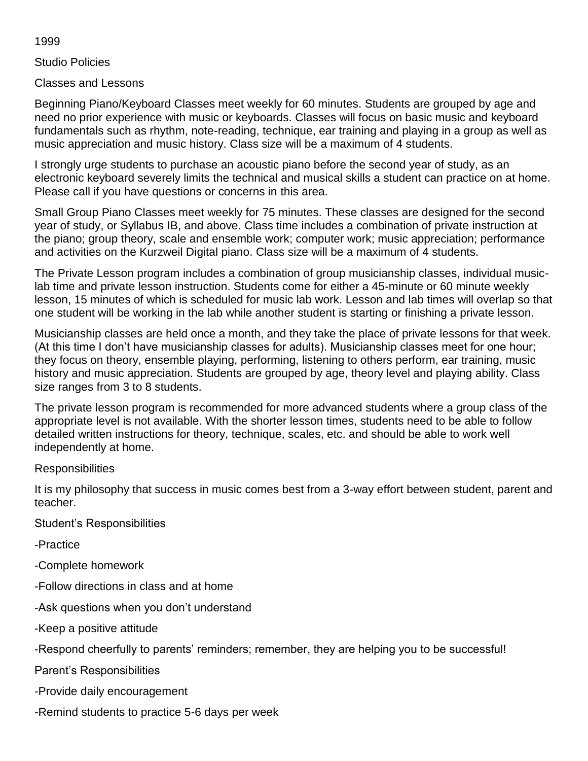1999

Studio Policies

Classes and Lessons

Beginning Piano/Keyboard Classes meet weekly for 60 minutes. Students are grouped by age and need no prior experience with music or keyboards. Classes will focus on basic music and keyboard fundamentals such as rhythm, note-reading, technique, ear training and playing in a group as well as music appreciation and music history. Class size will be a maximum of 4 students.

I strongly urge students to purchase an acoustic piano before the second year of study, as an electronic keyboard severely limits the technical and musical skills a student can practice on at home. Please call if you have questions or concerns in this area.

Small Group Piano Classes meet weekly for 75 minutes. These classes are designed for the second year of study, or Syllabus IB, and above. Class time includes a combination of private instruction at the piano; group theory, scale and ensemble work; computer work; music appreciation; performance and activities on the Kurzweil Digital piano. Class size will be a maximum of 4 students.

The Private Lesson program includes a combination of group musicianship classes, individual musiclab time and private lesson instruction. Students come for either a 45-minute or 60 minute weekly lesson, 15 minutes of which is scheduled for music lab work. Lesson and lab times will overlap so that one student will be working in the lab while another student is starting or finishing a private lesson.

Musicianship classes are held once a month, and they take the place of private lessons for that week. (At this time I don't have musicianship classes for adults). Musicianship classes meet for one hour; they focus on theory, ensemble playing, performing, listening to others perform, ear training, music history and music appreciation. Students are grouped by age, theory level and playing ability. Class size ranges from 3 to 8 students.

The private lesson program is recommended for more advanced students where a group class of the appropriate level is not available. With the shorter lesson times, students need to be able to follow detailed written instructions for theory, technique, scales, etc. and should be able to work well independently at home.

## Responsibilities

It is my philosophy that success in music comes best from a 3-way effort between student, parent and teacher.

Student's Responsibilities

-Practice

- -Complete homework
- -Follow directions in class and at home
- -Ask questions when you don't understand
- -Keep a positive attitude

-Respond cheerfully to parents' reminders; remember, they are helping you to be successful!

Parent's Responsibilities

- -Provide daily encouragement
- -Remind students to practice 5-6 days per week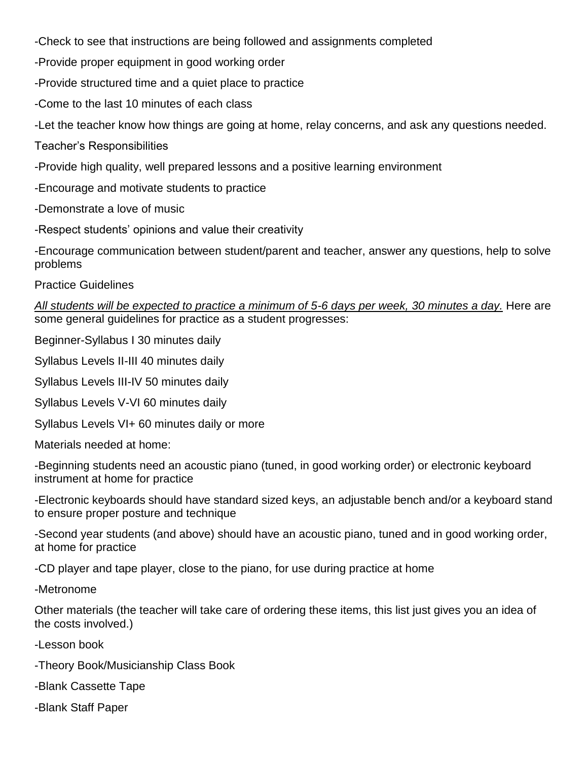-Check to see that instructions are being followed and assignments completed

-Provide proper equipment in good working order

-Provide structured time and a quiet place to practice

-Come to the last 10 minutes of each class

-Let the teacher know how things are going at home, relay concerns, and ask any questions needed.

Teacher's Responsibilities

-Provide high quality, well prepared lessons and a positive learning environment

-Encourage and motivate students to practice

-Demonstrate a love of music

-Respect students' opinions and value their creativity

-Encourage communication between student/parent and teacher, answer any questions, help to solve problems

Practice Guidelines

*All students will be expected to practice a minimum of 5-6 days per week, 30 minutes a day.* Here are some general guidelines for practice as a student progresses:

Beginner-Syllabus I 30 minutes daily

Syllabus Levels II-III 40 minutes daily

Syllabus Levels III-IV 50 minutes daily

Syllabus Levels V-VI 60 minutes daily

Syllabus Levels VI+ 60 minutes daily or more

Materials needed at home:

-Beginning students need an acoustic piano (tuned, in good working order) or electronic keyboard instrument at home for practice

-Electronic keyboards should have standard sized keys, an adjustable bench and/or a keyboard stand to ensure proper posture and technique

-Second year students (and above) should have an acoustic piano, tuned and in good working order, at home for practice

-CD player and tape player, close to the piano, for use during practice at home

-Metronome

Other materials (the teacher will take care of ordering these items, this list just gives you an idea of the costs involved.)

-Lesson book

-Theory Book/Musicianship Class Book

-Blank Cassette Tape

-Blank Staff Paper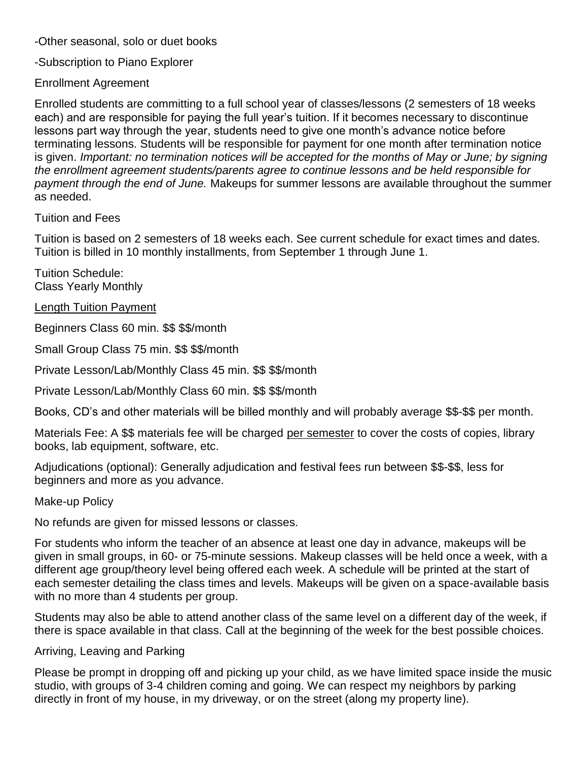-Other seasonal, solo or duet books

-Subscription to Piano Explorer

Enrollment Agreement

Enrolled students are committing to a full school year of classes/lessons (2 semesters of 18 weeks each) and are responsible for paying the full year's tuition. If it becomes necessary to discontinue lessons part way through the year, students need to give one month's advance notice before terminating lessons. Students will be responsible for payment for one month after termination notice is given. *Important: no termination notices will be accepted for the months of May or June; by signing the enrollment agreement students/parents agree to continue lessons and be held responsible for payment through the end of June.* Makeups for summer lessons are available throughout the summer as needed.

Tuition and Fees

Tuition is based on 2 semesters of 18 weeks each. See current schedule for exact times and dates. Tuition is billed in 10 monthly installments, from September 1 through June 1.

Tuition Schedule: Class Yearly Monthly

Length Tuition Payment

Beginners Class 60 min. \$\$ \$\$/month

Small Group Class 75 min. \$\$ \$\$/month

Private Lesson/Lab/Monthly Class 45 min. \$\$ \$\$/month

Private Lesson/Lab/Monthly Class 60 min. \$\$ \$\$/month

Books, CD's and other materials will be billed monthly and will probably average \$\$-\$\$ per month.

Materials Fee: A \$\$ materials fee will be charged per semester to cover the costs of copies, library books, lab equipment, software, etc.

Adjudications (optional): Generally adjudication and festival fees run between \$\$-\$\$, less for beginners and more as you advance.

Make-up Policy

No refunds are given for missed lessons or classes.

For students who inform the teacher of an absence at least one day in advance, makeups will be given in small groups, in 60- or 75-minute sessions. Makeup classes will be held once a week, with a different age group/theory level being offered each week. A schedule will be printed at the start of each semester detailing the class times and levels. Makeups will be given on a space-available basis with no more than 4 students per group.

Students may also be able to attend another class of the same level on a different day of the week, if there is space available in that class. Call at the beginning of the week for the best possible choices.

Arriving, Leaving and Parking

Please be prompt in dropping off and picking up your child, as we have limited space inside the music studio, with groups of 3-4 children coming and going. We can respect my neighbors by parking directly in front of my house, in my driveway, or on the street (along my property line).